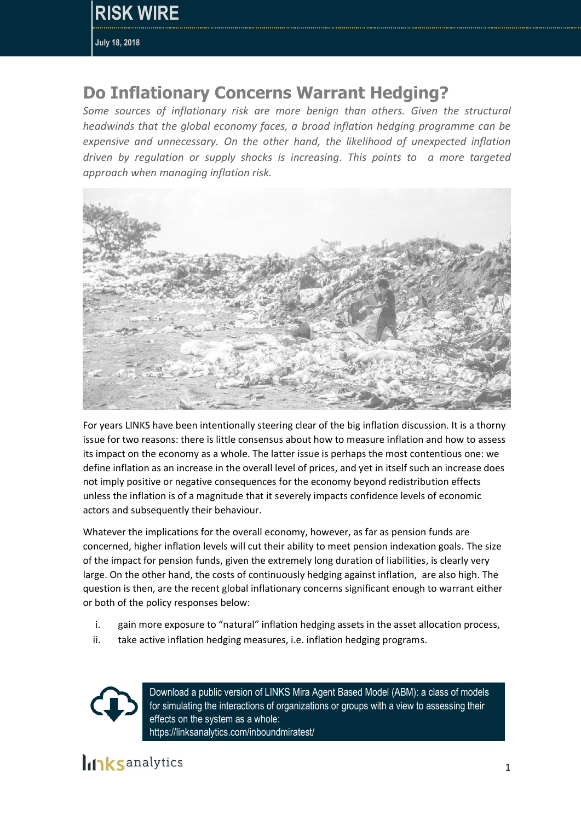## **Do Inflationary Concerns Warrant Hedging?**

*Some sources of inflationary risk are more benign than others. Given the structural headwinds that the global economy faces, a broad inflation hedging programme can be expensive and unnecessary. On the other hand, the likelihood of unexpected inflation driven by regulation or supply shocks is increasing. This points to a more targeted approach when managing inflation risk.* 



For years LINKS have been intentionally steering clear of the big inflation discussion. It is a thorny issue for two reasons: there is little consensus about how to measure inflation and how to assess its impact on the economy as a whole. The latter issue is perhaps the most contentious one: we define inflation as an increase in the overall level of prices, and yet in itself such an increase does not imply positive or negative consequences for the economy beyond redistribution effects unless the inflation is of a magnitude that it severely impacts confidence levels of economic actors and subsequently their behaviour.

Whatever the implications for the overall economy, however, as far as pension funds are concerned, higher inflation levels will cut their ability to meet pension indexation goals. The size of the impact for pension funds, given the extremely long duration of liabilities, is clearly very large. On the other hand, the costs of continuously hedging against inflation, are also high. The question is then, are the recent global inflationary concerns significant enough to warrant either or both of the policy responses below:

- i. gain more exposure to "natural" inflation hedging assets in the asset allocation process,
- ii. take active inflation hedging measures, i.e. inflation hedging programs.



Download a public version of LINKS Mira Agent Based Model (ABM): a class of models for simulating the interactions of organizations or groups with a view to assessing their effects on the system as a whole: https://linksanalytics.com/inboundmiratest/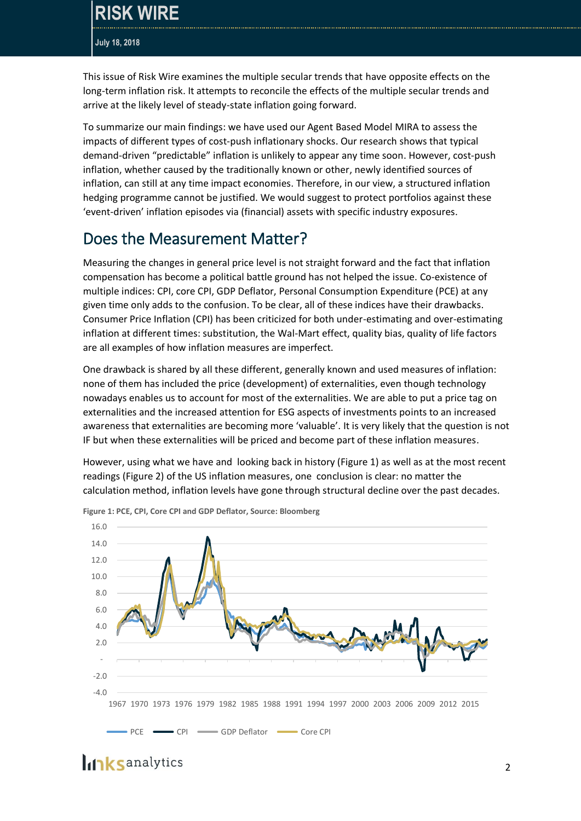This issue of Risk Wire examines the multiple secular trends that have opposite effects on the long-term inflation risk. It attempts to reconcile the effects of the multiple secular trends and arrive at the likely level of steady-state inflation going forward.

To summarize our main findings: we have used our Agent Based Model MIRA to assess the impacts of different types of cost-push inflationary shocks. Our research shows that typical demand-driven "predictable" inflation is unlikely to appear any time soon. However, cost-push inflation, whether caused by the traditionally known or other, newly identified sources of inflation, can still at any time impact economies. Therefore, in our view, a structured inflation hedging programme cannot be justified. We would suggest to protect portfolios against these 'event-driven' inflation episodes via (financial) assets with specific industry exposures.

### Does the Measurement Matter?

Measuring the changes in general price level is not straight forward and the fact that inflation compensation has become a political battle ground has not helped the issue. Co-existence of multiple indices: CPI, core CPI, GDP Deflator, Personal Consumption Expenditure (PCE) at any given time only adds to the confusion. To be clear, all of these indices have their drawbacks. Consumer Price Inflation (CPI) has been criticized for both under-estimating and over-estimating inflation at different times: substitution, the Wal-Mart effect, quality bias, quality of life factors are all examples of how inflation measures are imperfect.

One drawback is shared by all these different, generally known and used measures of inflation: none of them has included the price (development) of externalities, even though technology nowadays enables us to account for most of the externalities. We are able to put a price tag on externalities and the increased attention for ESG aspects of investments points to an increased awareness that externalities are becoming more 'valuable'. It is very likely that the question is not IF but when these externalities will be priced and become part of these inflation measures.

However, using what we have and looking back in history (Figure 1) as well as at the most recent readings (Figure 2) of the US inflation measures, one conclusion is clear: no matter the calculation method, inflation levels have gone through structural decline over the past decades.



**Figure 1: PCE, CPI, Core CPI and GDP Deflator, Source: Bloomberg**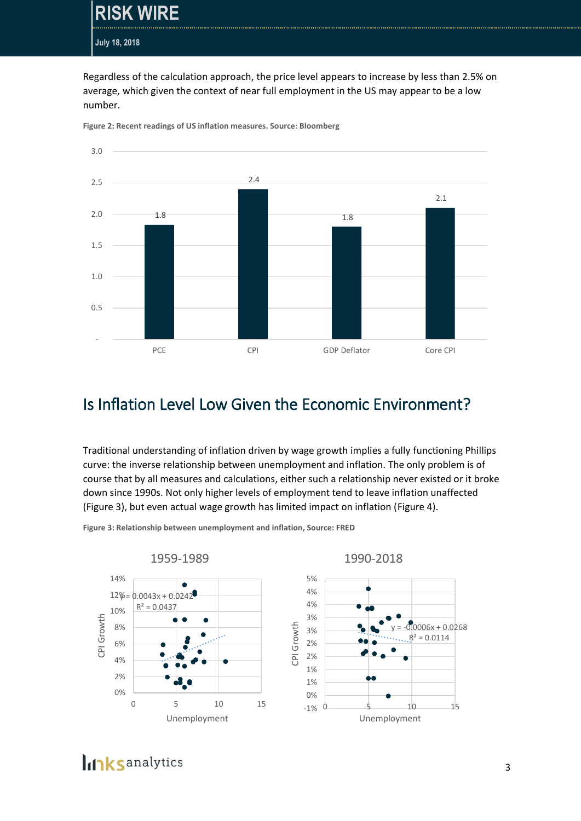**RISK WIRE**

**July 18, 2018**

Regardless of the calculation approach, the price level appears to increase by less than 2.5% on average, which given the context of near full employment in the US may appear to be a low number.



**Figure 2: Recent readings of US inflation measures. Source: Bloomberg**

#### Is Inflation Level Low Given the Economic Environment?

Traditional understanding of inflation driven by wage growth implies a fully functioning Phillips curve: the inverse relationship between unemployment and inflation. The only problem is of course that by all measures and calculations, either such a relationship never existed or it broke down since 1990s. Not only higher levels of employment tend to leave inflation unaffected (Figure 3), but even actual wage growth has limited impact on inflation (Figure 4).

**Figure 3: Relationship between unemployment and inflation, Source: FRED**



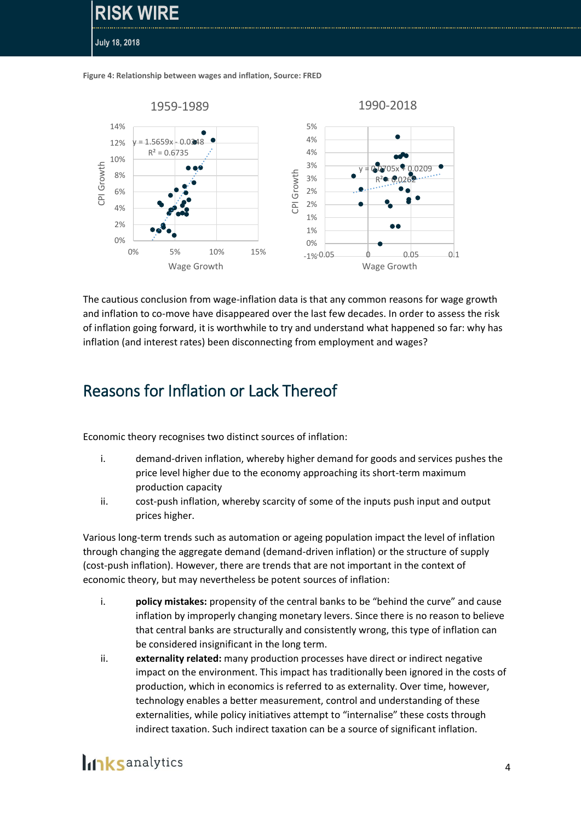**Figure 4: Relationship between wages and inflation, Source: FRED**

**RISK WIRE**

**July 18, 2018**



The cautious conclusion from wage-inflation data is that any common reasons for wage growth and inflation to co-move have disappeared over the last few decades. In order to assess the risk of inflation going forward, it is worthwhile to try and understand what happened so far: why has inflation (and interest rates) been disconnecting from employment and wages?

### Reasons for Inflation or Lack Thereof

Economic theory recognises two distinct sources of inflation:

- i. demand-driven inflation, whereby higher demand for goods and services pushes the price level higher due to the economy approaching its short-term maximum production capacity
- ii. cost-push inflation, whereby scarcity of some of the inputs push input and output prices higher.

Various long-term trends such as automation or ageing population impact the level of inflation through changing the aggregate demand (demand-driven inflation) or the structure of supply (cost-push inflation). However, there are trends that are not important in the context of economic theory, but may nevertheless be potent sources of inflation:

- i. **policy mistakes:** propensity of the central banks to be "behind the curve" and cause inflation by improperly changing monetary levers. Since there is no reason to believe that central banks are structurally and consistently wrong, this type of inflation can be considered insignificant in the long term.
- ii. **externality related:** many production processes have direct or indirect negative impact on the environment. This impact has traditionally been ignored in the costs of production, which in economics is referred to as externality. Over time, however, technology enables a better measurement, control and understanding of these externalities, while policy initiatives attempt to "internalise" these costs through indirect taxation. Such indirect taxation can be a source of significant inflation.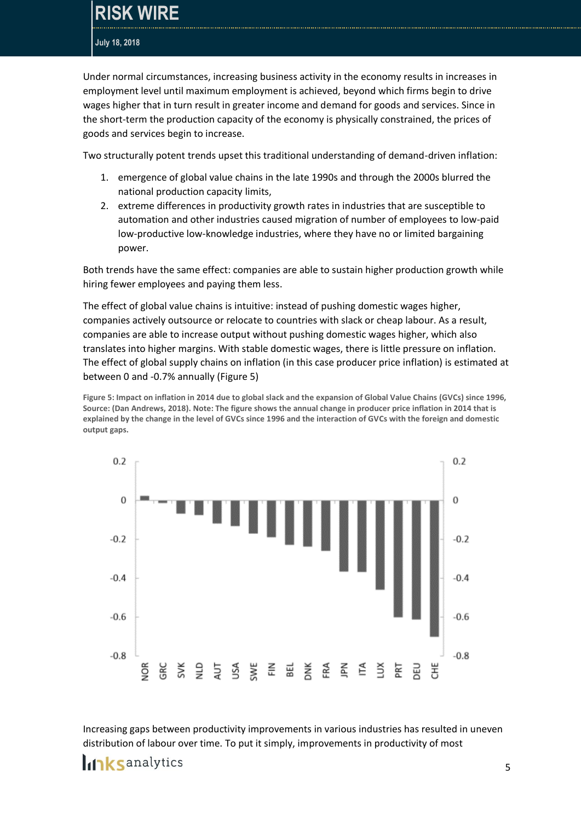Under normal circumstances, increasing business activity in the economy results in increases in employment level until maximum employment is achieved, beyond which firms begin to drive wages higher that in turn result in greater income and demand for goods and services. Since in the short-term the production capacity of the economy is physically constrained, the prices of goods and services begin to increase.

Two structurally potent trends upset this traditional understanding of demand-driven inflation:

- 1. emergence of global value chains in the late 1990s and through the 2000s blurred the national production capacity limits,
- 2. extreme differences in productivity growth rates in industries that are susceptible to automation and other industries caused migration of number of employees to low-paid low-productive low-knowledge industries, where they have no or limited bargaining power.

Both trends have the same effect: companies are able to sustain higher production growth while hiring fewer employees and paying them less.

The effect of global value chains is intuitive: instead of pushing domestic wages higher, companies actively outsource or relocate to countries with slack or cheap labour. As a result, companies are able to increase output without pushing domestic wages higher, which also translates into higher margins. With stable domestic wages, there is little pressure on inflation. The effect of global supply chains on inflation (in this case producer price inflation) is estimated at between 0 and -0.7% annually (Figure 5)

**Figure 5: Impact on inflation in 2014 due to global slack and the expansion of Global Value Chains (GVCs) since 1996, Source: (Dan Andrews, 2018). Note: The figure shows the annual change in producer price inflation in 2014 that is explained by the change in the level of GVCs since 1996 and the interaction of GVCs with the foreign and domestic output gaps.**



Increasing gaps between productivity improvements in various industries has resulted in uneven distribution of labour over time. To put it simply, improvements in productivity of most

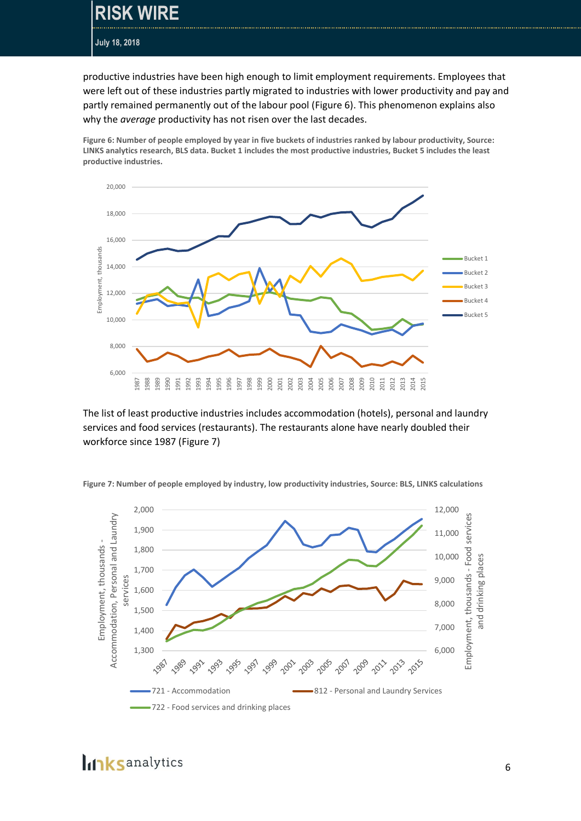### **RISK WIRE**

**July 18, 2018**

productive industries have been high enough to limit employment requirements. Employees that were left out of these industries partly migrated to industries with lower productivity and pay and partly remained permanently out of the labour pool (Figure 6). This phenomenon explains also why the *average* productivity has not risen over the last decades.

**Figure 6: Number of people employed by year in five buckets of industries ranked by labour productivity, Source: LINKS analytics research, BLS data. Bucket 1 includes the most productive industries, Bucket 5 includes the least productive industries.**



The list of least productive industries includes accommodation (hotels), personal and laundry services and food services (restaurants). The restaurants alone have nearly doubled their workforce since 1987 (Figure 7)



**Figure 7: Number of people employed by industry, low productivity industries, Source: BLS, LINKS calculations**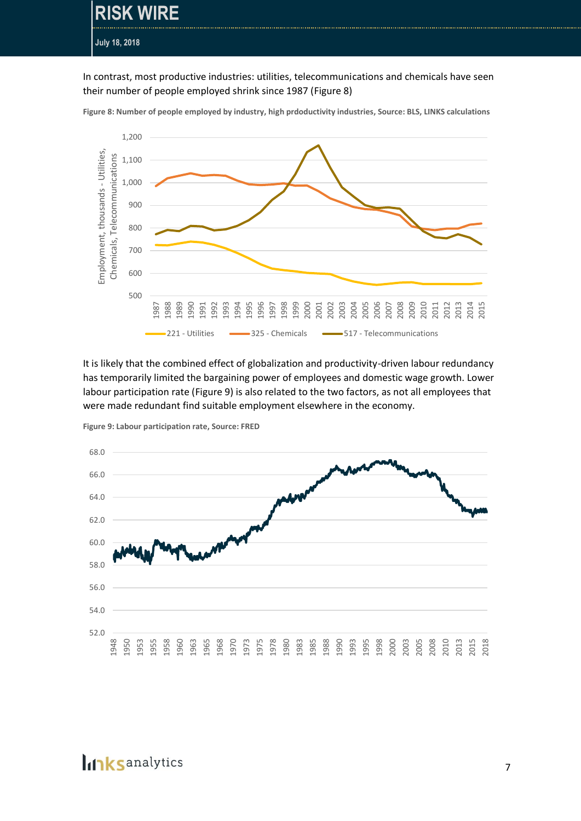**RISK WIRE July 18, 2018**

In contrast, most productive industries: utilities, telecommunications and chemicals have seen their number of people employed shrink since 1987 (Figure 8)



**Figure 8: Number of people employed by industry, high prdoductivity industries, Source: BLS, LINKS calculations**

It is likely that the combined effect of globalization and productivity-driven labour redundancy has temporarily limited the bargaining power of employees and domestic wage growth. Lower labour participation rate [\(Figure 9\)](#page-6-0) is also related to the two factors, as not all employees that were made redundant find suitable employment elsewhere in the economy.



<span id="page-6-0"></span>**Figure 9: Labour participation rate, Source: FRED**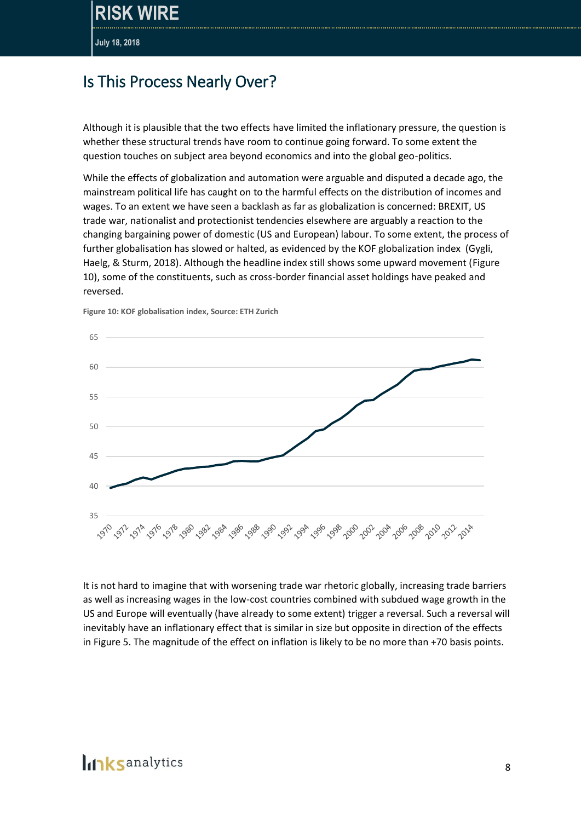### Is This Process Nearly Over?

Although it is plausible that the two effects have limited the inflationary pressure, the question is whether these structural trends have room to continue going forward. To some extent the question touches on subject area beyond economics and into the global geo-politics.

While the effects of globalization and automation were arguable and disputed a decade ago, the mainstream political life has caught on to the harmful effects on the distribution of incomes and wages. To an extent we have seen a backlash as far as globalization is concerned: BREXIT, US trade war, nationalist and protectionist tendencies elsewhere are arguably a reaction to the changing bargaining power of domestic (US and European) labour. To some extent, the process of further globalisation has slowed or halted, as evidenced by the KOF globalization index (Gygli, Haelg, & Sturm, 2018). Although the headline index still shows some upward movement (Figure 10), some of the constituents, such as cross-border financial asset holdings have peaked and reversed.



**Figure 10: KOF globalisation index, Source: ETH Zurich**

It is not hard to imagine that with worsening trade war rhetoric globally, increasing trade barriers as well as increasing wages in the low-cost countries combined with subdued wage growth in the US and Europe will eventually (have already to some extent) trigger a reversal. Such a reversal will inevitably have an inflationary effect that is similar in size but opposite in direction of the effects in Figure 5. The magnitude of the effect on inflation is likely to be no more than +70 basis points.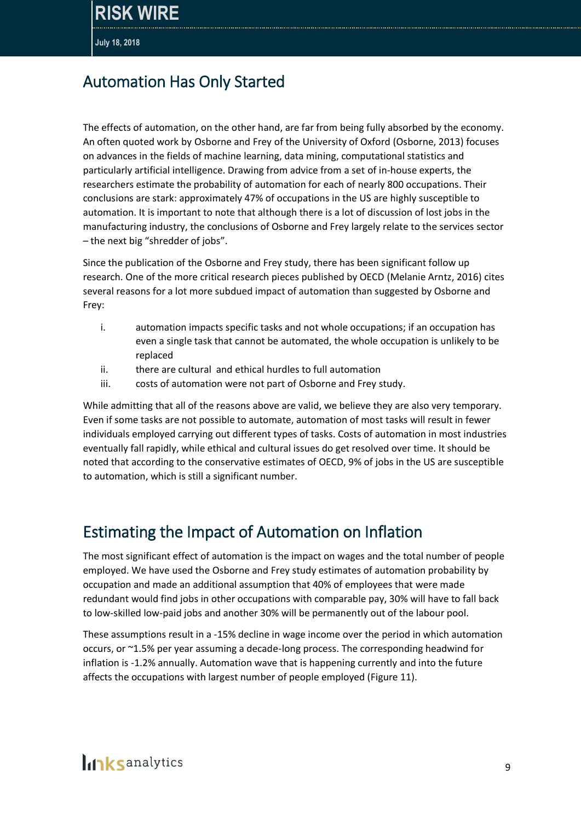## Automation Has Only Started

The effects of automation, on the other hand, are far from being fully absorbed by the economy. An often quoted work by Osborne and Frey of the University of Oxford (Osborne, 2013) focuses on advances in the fields of machine learning, data mining, computational statistics and particularly artificial intelligence. Drawing from advice from a set of in-house experts, the researchers estimate the probability of automation for each of nearly 800 occupations. Their conclusions are stark: approximately 47% of occupations in the US are highly susceptible to automation. It is important to note that although there is a lot of discussion of lost jobs in the manufacturing industry, the conclusions of Osborne and Frey largely relate to the services sector – the next big "shredder of jobs".

Since the publication of the Osborne and Frey study, there has been significant follow up research. One of the more critical research pieces published by OECD (Melanie Arntz, 2016) cites several reasons for a lot more subdued impact of automation than suggested by Osborne and Frey:

- i. automation impacts specific tasks and not whole occupations; if an occupation has even a single task that cannot be automated, the whole occupation is unlikely to be replaced
- ii. there are cultural and ethical hurdles to full automation
- iii. costs of automation were not part of Osborne and Frey study.

While admitting that all of the reasons above are valid, we believe they are also very temporary. Even if some tasks are not possible to automate, automation of most tasks will result in fewer individuals employed carrying out different types of tasks. Costs of automation in most industries eventually fall rapidly, while ethical and cultural issues do get resolved over time. It should be noted that according to the conservative estimates of OECD, 9% of jobs in the US are susceptible to automation, which is still a significant number.

### Estimating the Impact of Automation on Inflation

The most significant effect of automation is the impact on wages and the total number of people employed. We have used the Osborne and Frey study estimates of automation probability by occupation and made an additional assumption that 40% of employees that were made redundant would find jobs in other occupations with comparable pay, 30% will have to fall back to low-skilled low-paid jobs and another 30% will be permanently out of the labour pool.

These assumptions result in a -15% decline in wage income over the period in which automation occurs, or ~1.5% per year assuming a decade-long process. The corresponding headwind for inflation is -1.2% annually. Automation wave that is happening currently and into the future affects the occupations with largest number of people employed [\(Figure 11\)](#page-9-0).

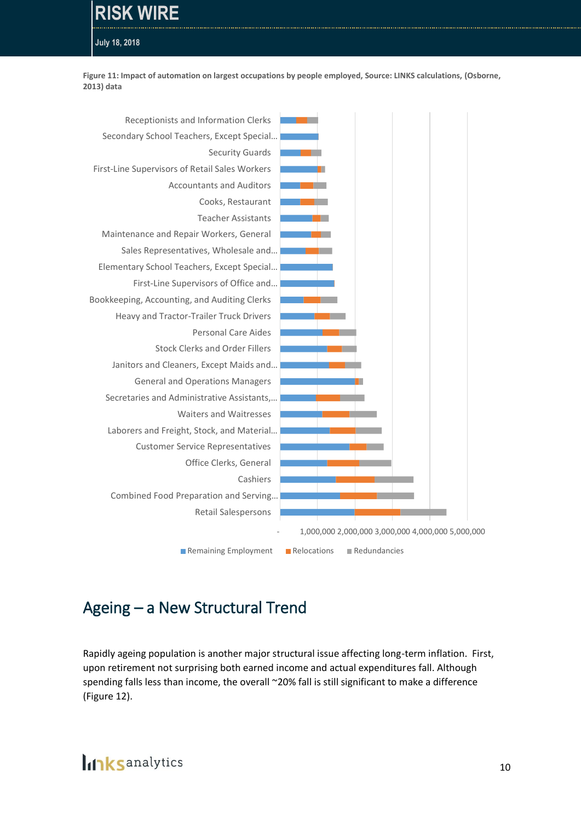## **RISK WIRE**

**July 18, 2018**

<span id="page-9-0"></span>**Figure 11: Impact of automation on largest occupations by people employed, Source: LINKS calculations, (Osborne, 2013) data**



## Ageing – a New Structural Trend

Rapidly ageing population is another major structural issue affecting long-term inflation. First, upon retirement not surprising both earned income and actual expenditures fall. Although spending falls less than income, the overall ~20% fall is still significant to make a difference [\(Figure 12\)](#page-10-0).

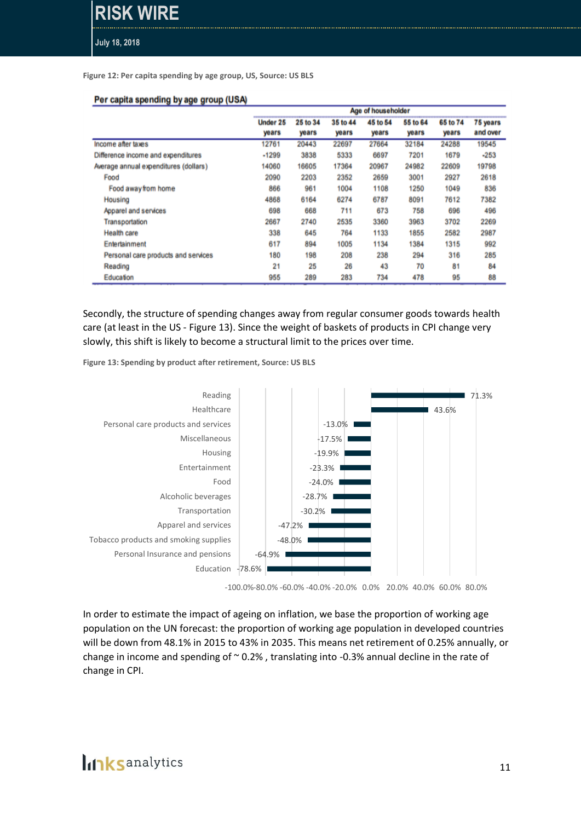#### <span id="page-10-0"></span>**Figure 12: Per capita spending by age group, US, Source: US BLS**

#### Per capita spending by age group (USA)

|                                       | Age of householder |          |          |          |          |          |          |
|---------------------------------------|--------------------|----------|----------|----------|----------|----------|----------|
|                                       | Under 25           | 25 to 34 | 35 to 44 | 45 to 54 | 55 to 64 | 65 to 74 | 75 years |
|                                       | years              | years    | years    | years    | years    | years    | and over |
| Income after taxes                    | 12761              | 20443    | 22697    | 27664    | 32184    | 24288    | 19545    |
| Difference income and expenditures    | $-1299$            | 3838     | 5333     | 6697     | 7201     | 1679     | $-253$   |
| Average annual expenditures (dollars) | 14060              | 16605    | 17364    | 20967    | 24982    | 22609    | 19798    |
| Food                                  | 2090               | 2203     | 2352     | 2659     | 3001     | 2927     | 2618     |
| Food away from home                   | 866                | 961      | 1004     | 1108     | 1250     | 1049     | 836      |
| Housing                               | 4868               | 6164     | 6274     | 6787     | 8091     | 7612     | 7382     |
| Apparel and services                  | 698                | 668      | 711      | 673      | 758      | 696      | 496      |
| Transportation                        | 2667               | 2740     | 2535     | 3360     | 3963     | 3702     | 2269     |
| <b>Health care</b>                    | 338                | 645      | 764      | 1133     | 1855     | 2582     | 2987     |
| Entertainment                         | 617                | 894      | 1005     | 1134     | 1384     | 1315     | 992      |
| Personal care products and services   | 180                | 198      | 208      | 238      | 294      | 316      | 285      |
| Reading                               | 21                 | 25       | 26       | 43       | 70       | 81       | 84       |
| Education                             | 955                | 289      | 283      | 734      | 478      | 95       | 88       |

Secondly, the structure of spending changes away from regular consumer goods towards health care (at least in the US - [Figure 13\)](#page-10-1). Since the weight of baskets of products in CPI change very slowly, this shift is likely to become a structural limit to the prices over time.

<span id="page-10-1"></span>**Figure 13: Spending by product after retirement, Source: US BLS**



-100.0%-80.0% -60.0% -40.0% -20.0% 0.0% 20.0% 40.0% 60.0% 80.0%

In order to estimate the impact of ageing on inflation, we base the proportion of working age population on the UN forecast: the proportion of working age population in developed countries will be down from 48.1% in 2015 to 43% in 2035. This means net retirement of 0.25% annually, or change in income and spending of  $\sim$  0.2%, translating into -0.3% annual decline in the rate of change in CPI.

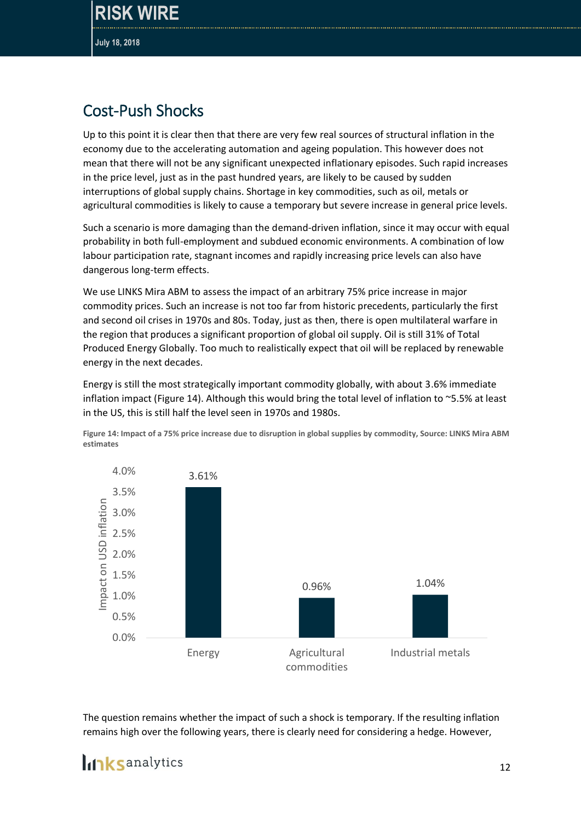## Cost-Push Shocks

Up to this point it is clear then that there are very few real sources of structural inflation in the economy due to the accelerating automation and ageing population. This however does not mean that there will not be any significant unexpected inflationary episodes. Such rapid increases in the price level, just as in the past hundred years, are likely to be caused by sudden interruptions of global supply chains. Shortage in key commodities, such as oil, metals or agricultural commodities is likely to cause a temporary but severe increase in general price levels.

Such a scenario is more damaging than the demand-driven inflation, since it may occur with equal probability in both full-employment and subdued economic environments. A combination of low labour participation rate, stagnant incomes and rapidly increasing price levels can also have dangerous long-term effects.

We use LINKS Mira ABM to assess the impact of an arbitrary 75% price increase in major commodity prices. Such an increase is not too far from historic precedents, particularly the first and second oil crises in 1970s and 80s. Today, just as then, there is open multilateral warfare in the region that produces a significant proportion of global oil supply. Oil is still 31% of Total Produced Energy Globally. Too much to realistically expect that oil will be replaced by renewable energy in the next decades.

Energy is still the most strategically important commodity globally, with about 3.6% immediate inflation impact [\(Figure 14\)](#page-11-0). Although this would bring the total level of inflation to ~5.5% at least in the US, this is still half the level seen in 1970s and 1980s.

<span id="page-11-0"></span>



The question remains whether the impact of such a shock is temporary. If the resulting inflation remains high over the following years, there is clearly need for considering a hedge. However,

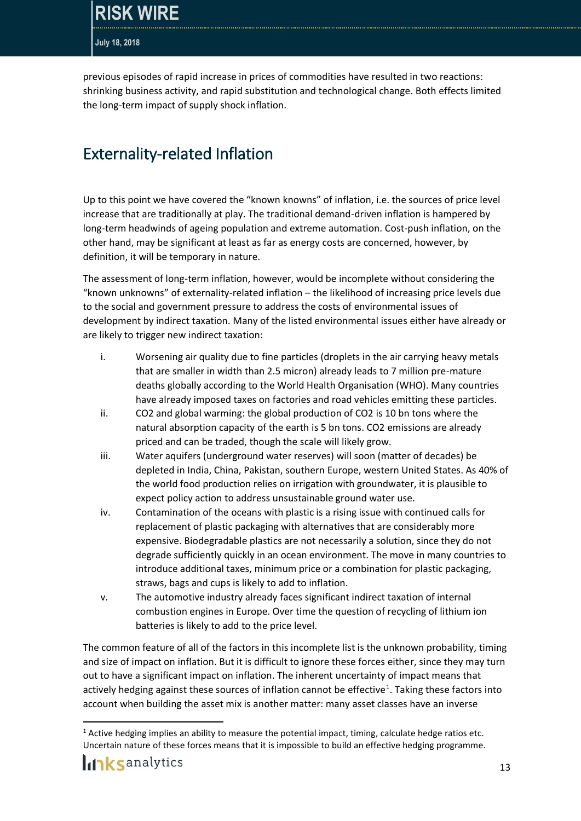previous episodes of rapid increase in prices of commodities have resulted in two reactions: shrinking business activity, and rapid substitution and technological change. Both effects limited the long-term impact of supply shock inflation.

## Externality-related Inflation

Up to this point we have covered the "known knowns" of inflation, i.e. the sources of price level increase that are traditionally at play. The traditional demand-driven inflation is hampered by long-term headwinds of ageing population and extreme automation. Cost-push inflation, on the other hand, may be significant at least as far as energy costs are concerned, however, by definition, it will be temporary in nature.

The assessment of long-term inflation, however, would be incomplete without considering the "known unknowns" of externality-related inflation – the likelihood of increasing price levels due to the social and government pressure to address the costs of environmental issues of development by indirect taxation. Many of the listed environmental issues either have already or are likely to trigger new indirect taxation:

- i. Worsening air quality due to fine particles (droplets in the air carrying heavy metals that are smaller in width than 2.5 micron) already leads to 7 million pre-mature deaths globally according to the World Health Organisation (WHO). Many countries have already imposed taxes on factories and road vehicles emitting these particles.
- ii. CO2 and global warming: the global production of CO2 is 10 bn tons where the natural absorption capacity of the earth is 5 bn tons. CO2 emissions are already priced and can be traded, though the scale will likely grow.
- iii. Water aquifers (underground water reserves) will soon (matter of decades) be depleted in India, China, Pakistan, southern Europe, western United States. As 40% of the world food production relies on irrigation with groundwater, it is plausible to expect policy action to address unsustainable ground water use.
- iv. Contamination of the oceans with plastic is a rising issue with continued calls for replacement of plastic packaging with alternatives that are considerably more expensive. Biodegradable plastics are not necessarily a solution, since they do not degrade sufficiently quickly in an ocean environment. The move in many countries to introduce additional taxes, minimum price or a combination for plastic packaging, straws, bags and cups is likely to add to inflation.
- v. The automotive industry already faces significant indirect taxation of internal combustion engines in Europe. Over time the question of recycling of lithium ion batteries is likely to add to the price level.

The common feature of all of the factors in this incomplete list is the unknown probability, timing and size of impact on inflation. But it is difficult to ignore these forces either, since they may turn out to have a significant impact on inflation. The inherent uncertainty of impact means that actively hedging against these sources of inflation cannot be effective<sup>1</sup>. Taking these factors into account when building the asset mix is another matter: many asset classes have an inverse

 $\overline{a}$ 

 $1$  Active hedging implies an ability to measure the potential impact, timing, calculate hedge ratios etc. Uncertain nature of these forces means that it is impossible to build an effective hedging programme.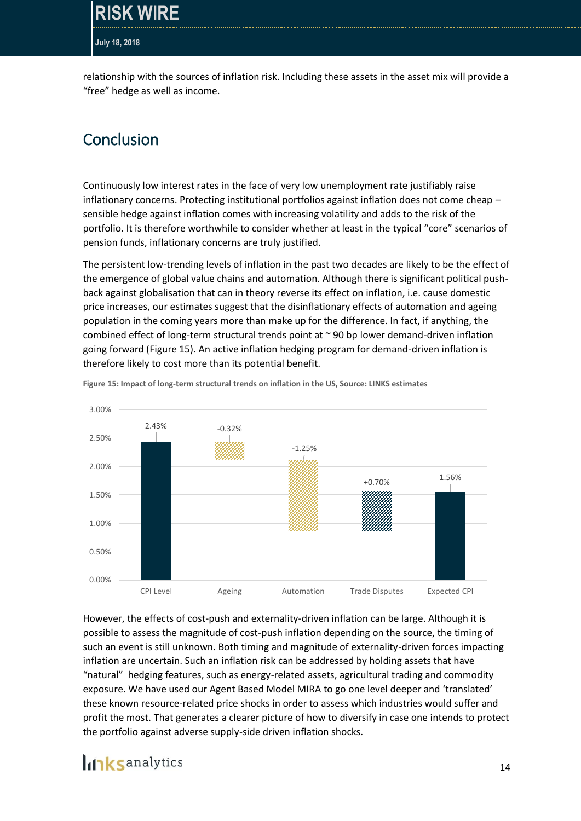**WIRF** 

#### **July 18, 2018**

relationship with the sources of inflation risk. Including these assets in the asset mix will provide a "free" hedge as well as income.

#### Conclusion

Continuously low interest rates in the face of very low unemployment rate justifiably raise inflationary concerns. Protecting institutional portfolios against inflation does not come cheap – sensible hedge against inflation comes with increasing volatility and adds to the risk of the portfolio. It is therefore worthwhile to consider whether at least in the typical "core" scenarios of pension funds, inflationary concerns are truly justified.

The persistent low-trending levels of inflation in the past two decades are likely to be the effect of the emergence of global value chains and automation. Although there is significant political pushback against globalisation that can in theory reverse its effect on inflation, i.e. cause domestic price increases, our estimates suggest that the disinflationary effects of automation and ageing population in the coming years more than make up for the difference. In fact, if anything, the combined effect of long-term structural trends point at ~ 90 bp lower demand-driven inflation going forward [\(Figure 15\)](#page-13-0). An active inflation hedging program for demand-driven inflation is therefore likely to cost more than its potential benefit.



<span id="page-13-0"></span>**Figure 15: Impact of long-term structural trends on inflation in the US, Source: LINKS estimates**

However, the effects of cost-push and externality-driven inflation can be large. Although it is possible to assess the magnitude of cost-push inflation depending on the source, the timing of such an event is still unknown. Both timing and magnitude of externality-driven forces impacting inflation are uncertain. Such an inflation risk can be addressed by holding assets that have "natural" hedging features, such as energy-related assets, agricultural trading and commodity exposure. We have used our Agent Based Model MIRA to go one level deeper and 'translated' these known resource-related price shocks in order to assess which industries would suffer and profit the most. That generates a clearer picture of how to diversify in case one intends to protect the portfolio against adverse supply-side driven inflation shocks.

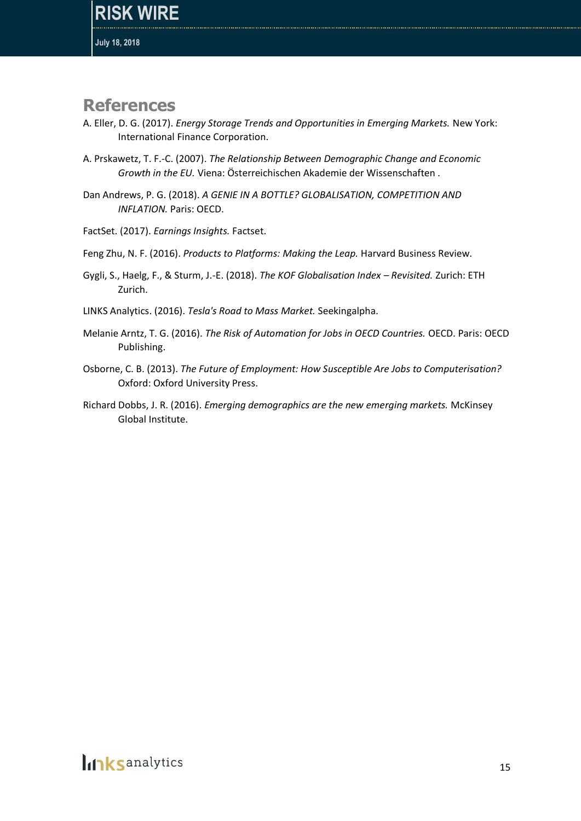#### **References**

- A. Eller, D. G. (2017). *Energy Storage Trends and Opportunities in Emerging Markets.* New York: International Finance Corporation.
- A. Prskawetz, T. F.-C. (2007). *The Relationship Between Demographic Change and Economic Growth in the EU.* Viena: Österreichischen Akademie der Wissenschaften .
- Dan Andrews, P. G. (2018). *A GENIE IN A BOTTLE? GLOBALISATION, COMPETITION AND INFLATION.* Paris: OECD.
- FactSet. (2017). *Earnings Insights.* Factset.
- Feng Zhu, N. F. (2016). *Products to Platforms: Making the Leap.* Harvard Business Review.
- Gygli, S., Haelg, F., & Sturm, J.-E. (2018). *The KOF Globalisation Index – Revisited.* Zurich: ETH Zurich.
- LINKS Analytics. (2016). *Tesla's Road to Mass Market.* Seekingalpha.
- Melanie Arntz, T. G. (2016). *The Risk of Automation for Jobs in OECD Countries.* OECD. Paris: OECD Publishing.
- Osborne, C. B. (2013). *The Future of Employment: How Susceptible Are Jobs to Computerisation?* Oxford: Oxford University Press.
- Richard Dobbs, J. R. (2016). *Emerging demographics are the new emerging markets.* McKinsey Global Institute.